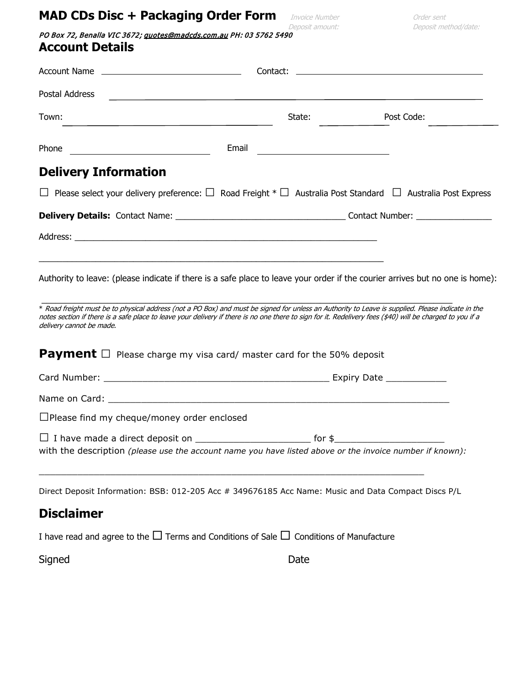# **MAD CDs Disc + Packaging Order Form** *Invoice Number* **Deposit amount:** *Deposit met*

PO Box 72, Benalla VIC 3672[; quotes@madcds.com.au](mailto:quotes@madcds.com.au) PH: 03 5762 5490 **Account Details**

| Postal Address                                                                                                                                                                                                                                                                                                                             | <u> 1980 - John Stein, mars and de Britain and de Britain and de Britain and de Britain and de Britain and de Bri</u> |            |
|--------------------------------------------------------------------------------------------------------------------------------------------------------------------------------------------------------------------------------------------------------------------------------------------------------------------------------------------|-----------------------------------------------------------------------------------------------------------------------|------------|
| Town:                                                                                                                                                                                                                                                                                                                                      | State:                                                                                                                | Post Code: |
| Phone<br><u> 1989 - Johann Barn, fransk politik (</u>                                                                                                                                                                                                                                                                                      |                                                                                                                       |            |
| <b>Delivery Information</b>                                                                                                                                                                                                                                                                                                                |                                                                                                                       |            |
| $\Box$ Please select your delivery preference: $\Box$ Road Freight $^* \Box$ Australia Post Standard $\Box$ Australia Post Express                                                                                                                                                                                                         |                                                                                                                       |            |
|                                                                                                                                                                                                                                                                                                                                            |                                                                                                                       |            |
|                                                                                                                                                                                                                                                                                                                                            |                                                                                                                       |            |
| Authority to leave: (please indicate if there is a safe place to leave your order if the courier arrives but no one is home):                                                                                                                                                                                                              |                                                                                                                       |            |
| * Road freight must be to physical address (not a PO Box) and must be signed for unless an Authority to Leave is supplied. Please indicate in the<br>notes section if there is a safe place to leave your delivery if there is no one there to sign for it. Redelivery fees (\$40) will be charged to you if a<br>delivery cannot be made. |                                                                                                                       |            |
| <b>Payment</b> $\Box$ Please charge my visa card/ master card for the 50% deposit                                                                                                                                                                                                                                                          |                                                                                                                       |            |
|                                                                                                                                                                                                                                                                                                                                            |                                                                                                                       |            |
| Name on Card: Name on Card: Name on Card: Name on Card: Name on Card: Name on Card: Name on Card: Name of Card                                                                                                                                                                                                                             |                                                                                                                       |            |
| $\Box$ Please find my cheque/money order enclosed                                                                                                                                                                                                                                                                                          |                                                                                                                       |            |
| with the description (please use the account name you have listed above or the invoice number if known):                                                                                                                                                                                                                                   |                                                                                                                       |            |
| Direct Deposit Information: BSB: 012-205 Acc # 349676185 Acc Name: Music and Data Compact Discs P/L                                                                                                                                                                                                                                        |                                                                                                                       |            |
| <b>Disclaimer</b>                                                                                                                                                                                                                                                                                                                          |                                                                                                                       |            |
| I have read and agree to the $\Box$ Terms and Conditions of Sale $\Box$ Conditions of Manufacture                                                                                                                                                                                                                                          |                                                                                                                       |            |
| Signed                                                                                                                                                                                                                                                                                                                                     | Date                                                                                                                  |            |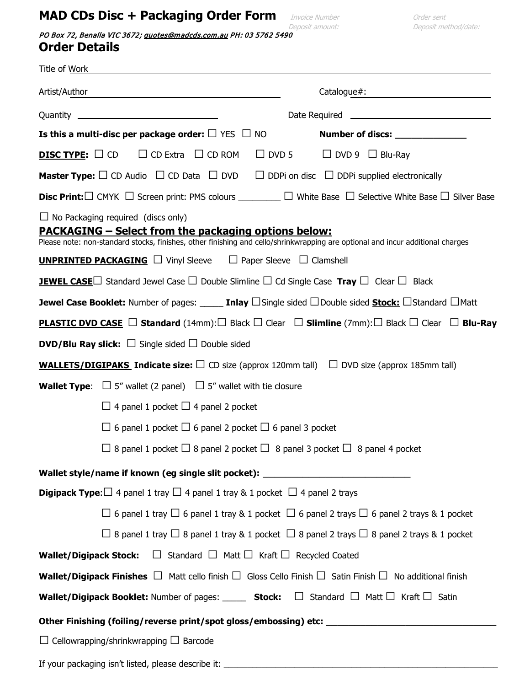# **MAD CDs Disc + Packaging Order Form** *Invoice Number* **Conder sent** *Order sent**Deposit method/date:*

PO Box 72, Benalla VIC 3672; quotes@madcds.com.au PH: 03 5762 5490 **Order Details**

| Is this a multi-disc per package order: $\square$ YES $\square$ NO<br>Number of discs: ______________                                                                                                                                      |  |  |  |  |
|--------------------------------------------------------------------------------------------------------------------------------------------------------------------------------------------------------------------------------------------|--|--|--|--|
| $\Box$ DVD 5 $\Box$ DVD 9 $\Box$ Blu-Ray<br><b>DISC TYPE:</b> $\Box$ CD $\Box$ CD Extra $\Box$ CD ROM                                                                                                                                      |  |  |  |  |
| <b>Master Type:</b> $\Box$ CD Audio $\Box$ CD Data $\Box$ DVD $\Box$ DDPi on disc $\Box$ DDPi supplied electronically                                                                                                                      |  |  |  |  |
| <b>Disc Print:</b> $\Box$ CMYK $\Box$ Screen print: PMS colours __________ $\Box$ White Base $\Box$ Selective White Base $\Box$ Silver Base                                                                                                |  |  |  |  |
| $\Box$ No Packaging required (discs only)<br><b>PACKAGING - Select from the packaging options below:</b><br>Please note: non-standard stocks, finishes, other finishing and cello/shrinkwrapping are optional and incur additional charges |  |  |  |  |
| <b>UNPRINTED PACKAGING</b> $\Box$ Vinyl Sleeve $\Box$ Paper Sleeve $\Box$ Clamshell                                                                                                                                                        |  |  |  |  |
| <b>JEWEL CASE</b> Standard Jewel Case $\Box$ Double Slimline $\Box$ Cd Single Case Tray $\Box$ Clear $\Box$ Black                                                                                                                          |  |  |  |  |
| <b>Jewel Case Booklet:</b> Number of pages: ______ <b>Inlay</b> $\Box$ Single sided $\Box$ Double sided <b>Stock:</b> $\Box$ Standard $\Box$ Matt                                                                                          |  |  |  |  |
| <b>PLASTIC DVD CASE</b> $\Box$ Standard (14mm): $\Box$ Black $\Box$ Clear $\Box$ Slimline (7mm): $\Box$ Black $\Box$ Clear $\Box$ Blu-Ray                                                                                                  |  |  |  |  |
| <b>DVD/Blu Ray slick:</b> $\Box$ Single sided $\Box$ Double sided                                                                                                                                                                          |  |  |  |  |
| <b>WALLETS/DIGIPAKS Indicate size:</b> $\square$ CD size (approx 120mm tall) $\square$ DVD size (approx 185mm tall)                                                                                                                        |  |  |  |  |
| <b>Wallet Type:</b> $\Box$ 5" wallet (2 panel) $\Box$ 5" wallet with tie closure                                                                                                                                                           |  |  |  |  |
| $\Box$ 4 panel 1 pocket $\Box$ 4 panel 2 pocket                                                                                                                                                                                            |  |  |  |  |
| $\Box$ 6 panel 1 pocket $\Box$ 6 panel 2 pocket $\Box$ 6 panel 3 pocket                                                                                                                                                                    |  |  |  |  |
| $\Box$ 8 panel 1 pocket $\Box$ 8 panel 2 pocket $\Box$ 8 panel 3 pocket $\Box$ 8 panel 4 pocket                                                                                                                                            |  |  |  |  |
| Wallet style/name if known (eg single slit pocket): ____________________________                                                                                                                                                           |  |  |  |  |
| <b>Digipack Type:</b> $\Box$ 4 panel 1 tray $\Box$ 4 panel 1 tray & 1 pocket $\Box$ 4 panel 2 trays                                                                                                                                        |  |  |  |  |
| $\Box$ 6 panel 1 tray $\Box$ 6 panel 1 tray & 1 pocket $\Box$ 6 panel 2 trays $\Box$ 6 panel 2 trays & 1 pocket                                                                                                                            |  |  |  |  |
| $\Box$ 8 panel 1 tray $\Box$ 8 panel 1 tray & 1 pocket $\Box$ 8 panel 2 trays $\Box$ 8 panel 2 trays & 1 pocket                                                                                                                            |  |  |  |  |
| $\Box$ Standard $\Box$ Matt $\Box$ Kraft $\Box$ Recycled Coated<br><b>Wallet/Digipack Stock:</b>                                                                                                                                           |  |  |  |  |
| <b>Wallet/Digipack Finishes</b> $\Box$ Matt cello finish $\Box$ Gloss Cello Finish $\Box$ Satin Finish $\Box$ No additional finish                                                                                                         |  |  |  |  |
| <b>Wallet/Digipack Booklet:</b> Number of pages: _____ <b>Stock:</b> $\Box$ Standard $\Box$ Matt $\Box$ Kraft $\Box$ Satin                                                                                                                 |  |  |  |  |
| Other Finishing (foiling/reverse print/spot gloss/embossing) etc: __________________________________                                                                                                                                       |  |  |  |  |
| $\Box$ Cellowrapping/shrinkwrapping $\Box$ Barcode                                                                                                                                                                                         |  |  |  |  |
| If your packaging isn't listed, please describe it: ____________________________                                                                                                                                                           |  |  |  |  |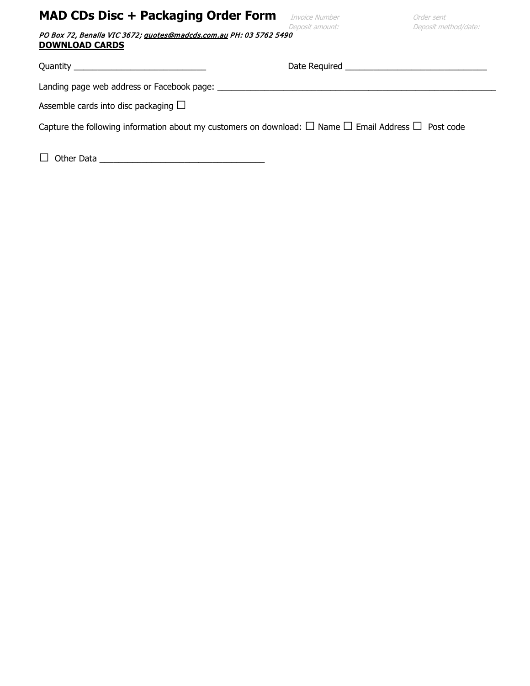# **MAD CDs Disc + Packaging Order Form** Invoice Number **Conder sent**

| PO Box 72, Benalla VIC 3672; guotes@madcds.com.au PH: 03 5762 5490 |  |
|--------------------------------------------------------------------|--|
| <b>DOWNLOAD CARDS</b>                                              |  |

Quantity \_\_\_\_\_\_\_\_\_\_\_\_\_\_\_\_\_\_\_\_\_\_\_\_\_\_\_\_ Date Required \_\_\_\_\_\_\_\_\_\_\_\_\_\_\_\_\_\_\_\_\_\_\_\_\_\_\_\_\_\_

Landing page web address or Facebook page: \_\_\_\_\_\_\_\_\_\_\_\_\_\_\_\_\_\_\_\_\_\_\_\_\_\_\_\_\_\_\_\_\_\_\_\_\_\_\_\_\_\_\_\_\_\_\_\_\_\_\_\_\_\_\_\_\_\_\_

Assemble cards into disc packaging  $\square$ 

Capture the following information about my customers on download:  $\Box$  Name  $\Box$  Email Address  $\Box$  Post code

□ Other Data \_\_\_\_\_\_\_\_\_\_\_\_\_\_\_\_\_\_\_\_\_\_\_\_\_\_\_\_\_\_\_\_\_\_\_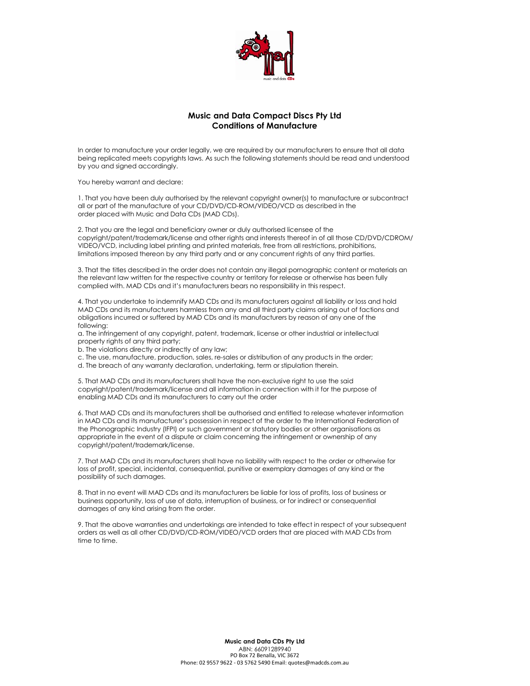

# Music and Data Compact Discs Pty Ltd Conditions of Manufacture

In order to manufacture your order legally, we are required by our manufacturers to ensure that all data being replicated meets copyrights laws. As such the following statements should be read and understood by you and signed accordingly.

You hereby warrant and declare:

1. That you have been duly authorised by the relevant copyright owner(s) to manufacture or subcontract all or part of the manufacture of your CD/DVD/CD-ROM/VIDEO/VCD as described in the order placed with Music and Data CDs (MAD CDs).

2. That you are the legal and beneficiary owner or duly authorised licensee of the copyright/patent/trademark/license and other rights and interests thereof in of all those CD/DVD/CDROM/ VIDEO/VCD, including label printing and printed materials, free from all restrictions, prohibitions, limitations imposed thereon by any third party and or any concurrent rights of any third parties.

3. That the titles described in the order does not contain any illegal pornographic content or materials an the relevant law written for the respective country or territory for release or otherwise has been fully complied with. MAD CDs and it's manufacturers bears no responsibility in this respect.

4. That you undertake to indemnify MAD CDs and its manufacturers against all liability or loss and hold MAD CDs and its manufacturers harmless from any and all third party claims arising out of factions and obligations incurred or suffered by MAD CDs and its manufacturers by reason of any one of the following:

a. The infringement of any copyright, patent, trademark, license or other industrial or intellectual property rights of any third party;

b. The violations directly or indirectly of any law;

- c. The use, manufacture, production, sales, re-sales or distribution of any products in the order;
- d. The breach of any warranty declaration, undertaking, term or stipulation therein.

5. That MAD CDs and its manufacturers shall have the non-exclusive right to use the said copyright/patent/trademark/license and all information in connection with it for the purpose of enabling MAD CDs and its manufacturers to carry out the order

6. That MAD CDs and its manufacturers shall be authorised and entitled to release whatever information in MAD CDs and its manufacturer's possession in respect of the order to the International Federation of the Phonographic Industry (IFPI) or such government or statutory bodies or other organisations as appropriate in the event of a dispute or claim concerning the infringement or ownership of any copyright/patent/trademark/license.

7. That MAD CDs and its manufacturers shall have no liability with respect to the order or otherwise for loss of profit, special, incidental, consequential, punitive or exemplary damages of any kind or the possibility of such damages.

8. That in no event will MAD CDs and its manufacturers be liable for loss of profits, loss of business or business opportunity, loss of use of data, interruption of business, or for indirect or consequential damages of any kind arising from the order.

9. That the above warranties and undertakings are intended to take effect in respect of your subsequent orders as well as all other CD/DVD/CD-ROM/VIDEO/VCD orders that are placed with MAD CDs from time to time.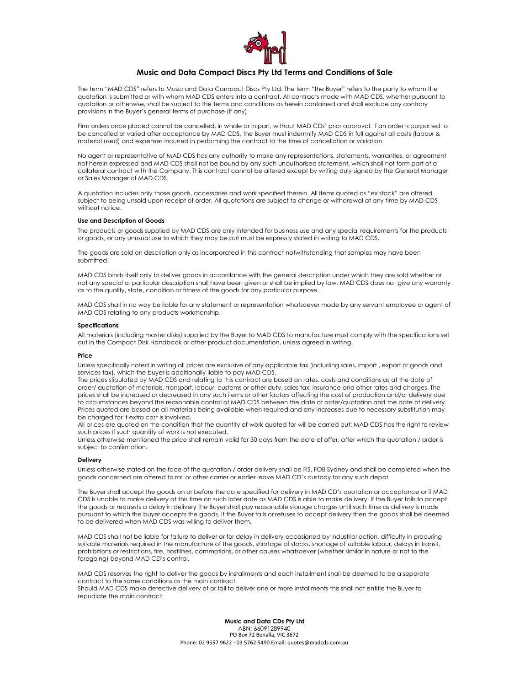

# Music and Data Compact Discs Pty Ltd Terms and Conditions of Sale

The term "MAD CDS" refers to Music and Data Compact Discs Pty Ltd. The term "the Buyer" refers to the party to whom the quotation is submitted or with whom MAD CDS enters into a contract. All contracts made with MAD CDS, whether pursuant to quotation or otherwise, shall be subject to the terms and conditions as herein contained and shall exclude any contrary provisions in the Buyer's general terms of purchase (if any).

Firm orders once placed cannot be cancelled, in whole or in part, without MAD CDs' prior approval. If an order is purported to be cancelled or varied after acceptance by MAD CDS, the Buyer must indemnify MAD CDS in full against all costs (labour & material used) and expenses incurred in performing the contract to the time of cancellation or variation.

No agent or representative of MAD CDS has any authority to make any representations, statements, warranties, or agreement not herein expressed and MAD CDS shall not be bound by any such unauthorised statement, which shall not form part of a collateral contract with the Company. This contract cannot be altered except by writing duly signed by the General Manager or Sales Manager of MAD CDS.

A quotation includes only those goods, accessories and work specified therein. All items quoted as "ex stock" are offered subject to being unsold upon receipt of order. All quotations are subject to change or withdrawal at any time by MAD CDS without notice.

#### Use and Description of Goods

The products or goods supplied by MAD CDS are only intended for business use and any special requirements for the products or goods, or any unusual use to which they may be put must be expressly stated in writing to MAD CDS.

The goods are sold on description only as incorporated in this contract notwithstanding that samples may have been submitted.

MAD CDS binds itself only to deliver goods in accordance with the general description under which they are sold whether or not any special or particular description shall have been given or shall be implied by law. MAD CDS does not give any warranty as to the quality, state, condition or fitness of the goods for any particular purpose.

MAD CDS shall in no way be liable for any statement or representation whatsoever made by any servant employee or agent of MAD CDS relating to any products workmanship.

#### Specifications

All materials (including master disks) supplied by the Buyer to MAD CDS to manufacture must comply with the specifications set out in the Compact Disk Handbook or other product documentation, unless agreed in writing.

# Price

Unless specifically noted in writing all prices are exclusive of any applicable tax (including sales, import , export or goods and services tax), which the buyer is additionally liable to pay MAD CDS.

The prices stipulated by MAD CDS and relating to this contract are based on rates, costs and conditions as at the date of order/ quotation of materials, transport, labour, customs or other duty, sales tax, insurance and other rates and charges. The prices shall be increased or decreased in any such items or other factors affecting the cost of production and/or delivery due to circumstances beyond the reasonable control of MAD CDS between the date of order/quotation and the date of delivery. Prices quoted are based on all materials being available when required and any increases due to necessary substitution may be charged for if extra cost is involved.

All prices are quoted on the condition that the quantity of work quoted for will be carried out: MAD CDS has the right to review such prices if such quantity of work is not executed.

Unless otherwise mentioned the price shall remain valid for 30 days from the date of offer, after which the quotation / order is subject to confirmation.

# Delivery

Unless otherwise stated on the face of the quotation / order delivery shall be FIS, FOB Sydney and shall be completed when the goods concerned are offered to rail or other carrier or earlier leave MAD CD's custody for any such depot.

The Buyer shall accept the goods on or before the date specified for delivery in MAD CD's quotation or acceptance or if MAD CDS is unable to make delivery at this time on such later date as MAD CDS is able to make delivery. If the Buyer fails to accept the goods or requests a delay in delivery the Buyer shall pay reasonable storage charges until such time as delivery is made pursuant to which the buyer accepts the goods. If the Buyer fails or refuses to accept delivery then the goods shall be deemed to be delivered when MAD CDS was willing to deliver them.

MAD CDS shall not be liable for failure to deliver or for delay in delivery occasioned by industrial action, difficulty in procuring suitable materials required in the manufacture of the goods, shortage of stocks, shortage of suitable labour, delays in transit, prohibitions or restrictions, fire, hostilities, commotions, or other causes whatsoever (whether similar in nature or not to the foregoing) beyond MAD CD's control.

MAD CDS reserves the right to deliver the goods by installments and each installment shall be deemed to be a separate contract to the same conditions as the main contract.

Should MAD CDS make defective delivery of or fail to deliver one or more installments this shall not entitle the Buyer to repudiate the main contract.

> Music and Data CDs Pty Ltd ABN: 66091289940 PO Box 72 Benalla, VIC 3672 Phone: 02 9557 9622 - 03 5762 5490 Email: quotes@madcds.com.au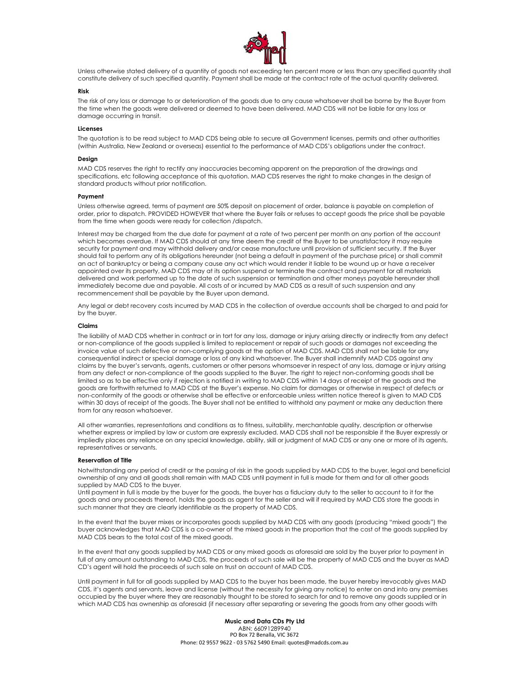

Unless otherwise stated delivery of a quantity of goods not exceeding ten percent more or less than any specified quantity shall constitute delivery of such specified quantity. Payment shall be made at the contract rate of the actual quantity delivered.

# Risk

The risk of any loss or damage to or deterioration of the goods due to any cause whatsoever shall be borne by the Buyer from the time when the goods were delivered or deemed to have been delivered. MAD CDS will not be liable for any loss or damage occurring in transit.

### Licenses

The quotation is to be read subject to MAD CDS being able to secure all Government licenses, permits and other authorities (within Australia, New Zealand or overseas) essential to the performance of MAD CDS's obligations under the contract.

#### Design

MAD CDS reserves the right to rectify any inaccuracies becoming apparent on the preparation of the drawings and specifications, etc following acceptance of this quotation. MAD CDS reserves the right to make changes in the design of standard products without prior notification.

#### **Payment**

Unless otherwise agreed, terms of payment are 50% deposit on placement of order, balance is payable on completion of order, prior to dispatch. PROVIDED HOWEVER that where the Buyer fails or refuses to accept goods the price shall be payable from the time when goods were ready for collection /dispatch.

Interest may be charged from the due date for payment at a rate of two percent per month on any portion of the account which becomes overdue. If MAD CDS should at any time deem the credit of the Buyer to be unsatisfactory it may require security for payment and may withhold delivery and/or cease manufacture until provision of sufficient security. If the Buyer should fail to perform any of its obligations hereunder (not being a default in payment of the purchase price) or shall commit an act of bankruptcy or being a company cause any act which would render it liable to be wound up or have a receiver appointed over its property, MAD CDS may at its option suspend or terminate the contract and payment for all materials delivered and work performed up to the date of such suspension or termination and other moneys payable hereunder shall immediately become due and payable. All costs of or incurred by MAD CDS as a result of such suspension and any recommencement shall be payable by the Buyer upon demand.

Any legal or debt recovery costs incurred by MAD CDS in the collection of overdue accounts shall be charged to and paid for by the buyer.

#### Claims

The liability of MAD CDS whether in contract or in tort for any loss, damage or injury arising directly or indirectly from any defect or non-compliance of the goods supplied is limited to replacement or repair of such goods or damages not exceeding the invoice value of such defective or non-complying goods at the option of MAD CDS. MAD CDS shall not be liable for any consequential indirect or special damage or loss of any kind whatsoever. The Buyer shall indemnify MAD CDS against any claims by the buyer's servants, agents, customers or other persons whomsoever in respect of any loss, damage or injury arising from any defect or non-compliance of the goods supplied to the Buyer. The right to reject non-conforming goods shall be limited so as to be effective only if rejection is notified in writing to MAD CDS within 14 days of receipt of the goods and the goods are forthwith returned to MAD CDS at the Buyer's expense. No claim for damages or otherwise in respect of defects or non-conformity of the goods or otherwise shall be effective or enforceable unless written notice thereof is given to MAD CDS within 30 days of receipt of the goods. The Buyer shall not be entitled to withhold any payment or make any deduction there from for any reason whatsoever.

All other warranties, representations and conditions as to fitness, suitability, merchantable quality, description or otherwise whether express or implied by law or custom are expressly excluded. MAD CDS shall not be responsible if the Buyer expressly or impliedly places any reliance on any special knowledge, ability, skill or judgment of MAD CDS or any one or more of its agents, representatives or servants.

# Reservation of Title

Notwithstanding any period of credit or the passing of risk in the goods supplied by MAD CDS to the buyer, legal and beneficial ownership of any and all goods shall remain with MAD CDS until payment in full is made for them and for all other goods supplied by MAD CDS to the buyer.

Until payment in full is made by the buyer for the goods, the buyer has a fiduciary duty to the seller to account to it for the goods and any proceeds thereof, holds the goods as agent for the seller and will if required by MAD CDS store the goods in such manner that they are clearly identifiable as the property of MAD CDS.

In the event that the buyer mixes or incorporates goods supplied by MAD CDS with any goods (producing "mixed goods") the buyer acknowledges that MAD CDS is a co-owner of the mixed goods in the proportion that the cost of the goods supplied by MAD CDS bears to the total cost of the mixed goods.

In the event that any goods supplied by MAD CDS or any mixed goods as aforesaid are sold by the buyer prior to payment in full of any amount outstanding to MAD CDS, the proceeds of such sale will be the property of MAD CDS and the buyer as MAD CD's agent will hold the proceeds of such sale on trust on account of MAD CDS.

Until payment in full for all goods supplied by MAD CDS to the buyer has been made, the buyer hereby irrevocably gives MAD CDS, it's agents and servants, leave and license (without the necessity for giving any notice) to enter on and into any premises occupied by the buyer where they are reasonably thought to be stored to search for and to remove any goods supplied or in which MAD CDS has ownership as aforesaid (if necessary after separating or severing the goods from any other goods with

> Music and Data CDs Pty Ltd ABN: 66091289940 PO Box 72 Benalla, VIC 3672 Phone: 02 9557 9622 - 03 5762 5490 Email: quotes@madcds.com.au